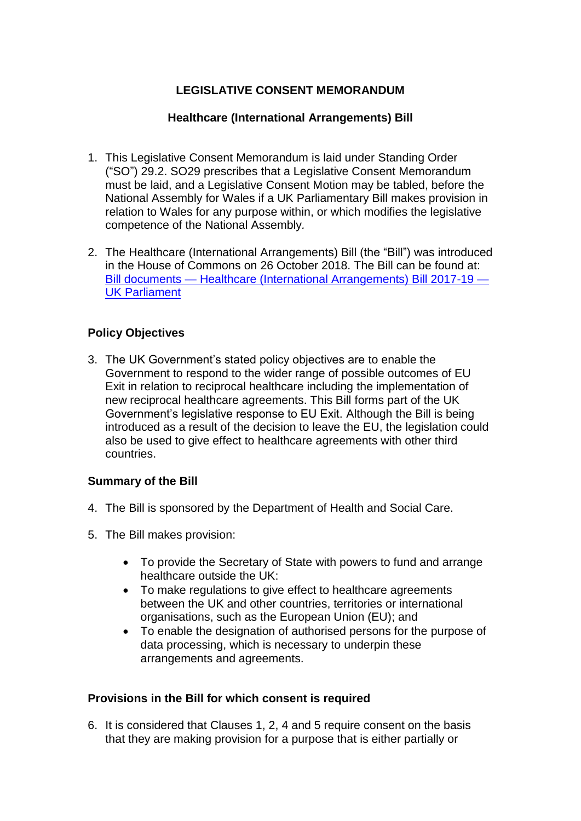# **LEGISLATIVE CONSENT MEMORANDUM**

### **Healthcare (International Arrangements) Bill**

- 1. This Legislative Consent Memorandum is laid under Standing Order ("SO") 29.2. SO29 prescribes that a Legislative Consent Memorandum must be laid, and a Legislative Consent Motion may be tabled, before the National Assembly for Wales if a UK Parliamentary Bill makes provision in relation to Wales for any purpose within, or which modifies the legislative competence of the National Assembly*.*
- 2. The Healthcare (International Arrangements) Bill (the "Bill") was introduced in the House of Commons on 26 October 2018. The Bill can be found at: Bill documents — [Healthcare \(International Arrangements\) Bill 2017-19 —](https://services.parliament.uk/Bills/2017-19/healthcareinternationalarrangements/documents.html) [UK Parliament](https://services.parliament.uk/Bills/2017-19/healthcareinternationalarrangements/documents.html)

### **Policy Objectives**

3. The UK Government's stated policy objectives are to enable the Government to respond to the wider range of possible outcomes of EU Exit in relation to reciprocal healthcare including the implementation of new reciprocal healthcare agreements. This Bill forms part of the UK Government's legislative response to EU Exit. Although the Bill is being introduced as a result of the decision to leave the EU, the legislation could also be used to give effect to healthcare agreements with other third countries.

#### **Summary of the Bill**

- 4. The Bill is sponsored by the Department of Health and Social Care.
- 5. The Bill makes provision:
	- To provide the Secretary of State with powers to fund and arrange healthcare outside the UK:
	- To make regulations to give effect to healthcare agreements between the UK and other countries, territories or international organisations, such as the European Union (EU); and
	- To enable the designation of authorised persons for the purpose of data processing, which is necessary to underpin these arrangements and agreements.

#### **Provisions in the Bill for which consent is required**

6. It is considered that Clauses 1, 2, 4 and 5 require consent on the basis that they are making provision for a purpose that is either partially or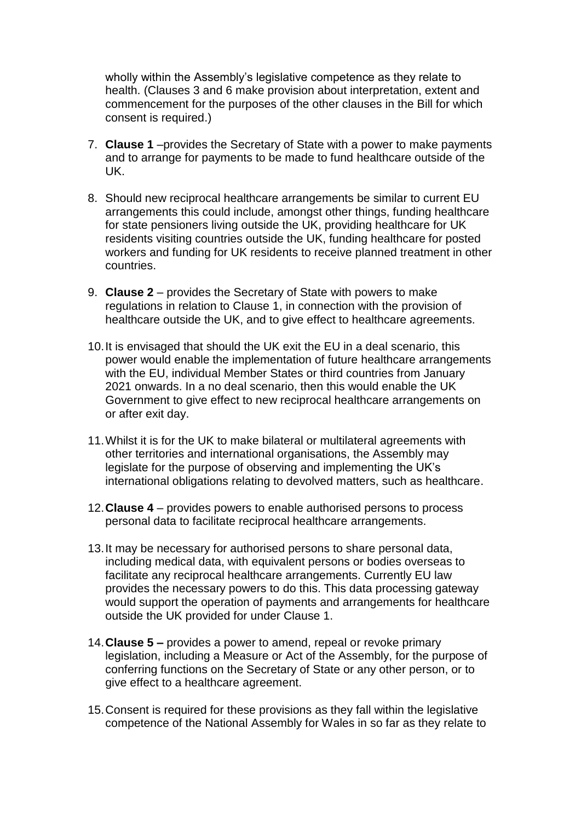wholly within the Assembly's legislative competence as they relate to health. (Clauses 3 and 6 make provision about interpretation, extent and commencement for the purposes of the other clauses in the Bill for which consent is required.)

- 7. **Clause 1** –provides the Secretary of State with a power to make payments and to arrange for payments to be made to fund healthcare outside of the UK.
- 8. Should new reciprocal healthcare arrangements be similar to current EU arrangements this could include, amongst other things, funding healthcare for state pensioners living outside the UK, providing healthcare for UK residents visiting countries outside the UK, funding healthcare for posted workers and funding for UK residents to receive planned treatment in other countries.
- 9. **Clause 2** provides the Secretary of State with powers to make regulations in relation to Clause 1, in connection with the provision of healthcare outside the UK, and to give effect to healthcare agreements.
- 10.It is envisaged that should the UK exit the EU in a deal scenario, this power would enable the implementation of future healthcare arrangements with the EU, individual Member States or third countries from January 2021 onwards. In a no deal scenario, then this would enable the UK Government to give effect to new reciprocal healthcare arrangements on or after exit day.
- 11.Whilst it is for the UK to make bilateral or multilateral agreements with other territories and international organisations, the Assembly may legislate for the purpose of observing and implementing the UK's international obligations relating to devolved matters, such as healthcare.
- 12.**Clause 4**  provides powers to enable authorised persons to process personal data to facilitate reciprocal healthcare arrangements.
- 13.It may be necessary for authorised persons to share personal data, including medical data, with equivalent persons or bodies overseas to facilitate any reciprocal healthcare arrangements. Currently EU law provides the necessary powers to do this. This data processing gateway would support the operation of payments and arrangements for healthcare outside the UK provided for under Clause 1.
- 14.**Clause 5 –** provides a power to amend, repeal or revoke primary legislation, including a Measure or Act of the Assembly, for the purpose of conferring functions on the Secretary of State or any other person, or to give effect to a healthcare agreement.
- 15.Consent is required for these provisions as they fall within the legislative competence of the National Assembly for Wales in so far as they relate to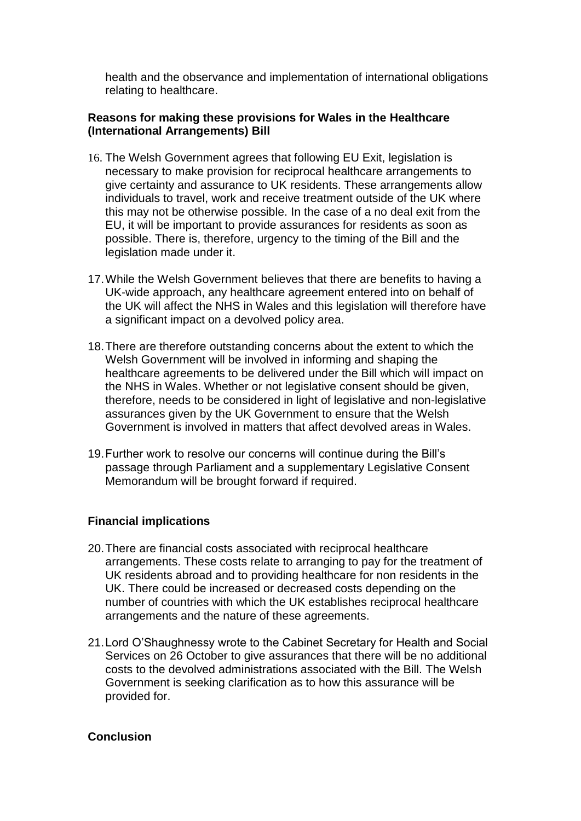health and the observance and implementation of international obligations relating to healthcare.

## **Reasons for making these provisions for Wales in the Healthcare (International Arrangements) Bill**

- 16. The Welsh Government agrees that following EU Exit, legislation is necessary to make provision for reciprocal healthcare arrangements to give certainty and assurance to UK residents. These arrangements allow individuals to travel, work and receive treatment outside of the UK where this may not be otherwise possible. In the case of a no deal exit from the EU, it will be important to provide assurances for residents as soon as possible. There is, therefore, urgency to the timing of the Bill and the legislation made under it.
- 17.While the Welsh Government believes that there are benefits to having a UK-wide approach, any healthcare agreement entered into on behalf of the UK will affect the NHS in Wales and this legislation will therefore have a significant impact on a devolved policy area.
- 18.There are therefore outstanding concerns about the extent to which the Welsh Government will be involved in informing and shaping the healthcare agreements to be delivered under the Bill which will impact on the NHS in Wales. Whether or not legislative consent should be given, therefore, needs to be considered in light of legislative and non-legislative assurances given by the UK Government to ensure that the Welsh Government is involved in matters that affect devolved areas in Wales.
- 19.Further work to resolve our concerns will continue during the Bill's passage through Parliament and a supplementary Legislative Consent Memorandum will be brought forward if required.

# **Financial implications**

- 20.There are financial costs associated with reciprocal healthcare arrangements. These costs relate to arranging to pay for the treatment of UK residents abroad and to providing healthcare for non residents in the UK. There could be increased or decreased costs depending on the number of countries with which the UK establishes reciprocal healthcare arrangements and the nature of these agreements.
- 21.Lord O'Shaughnessy wrote to the Cabinet Secretary for Health and Social Services on 26 October to give assurances that there will be no additional costs to the devolved administrations associated with the Bill. The Welsh Government is seeking clarification as to how this assurance will be provided for.

#### **Conclusion**